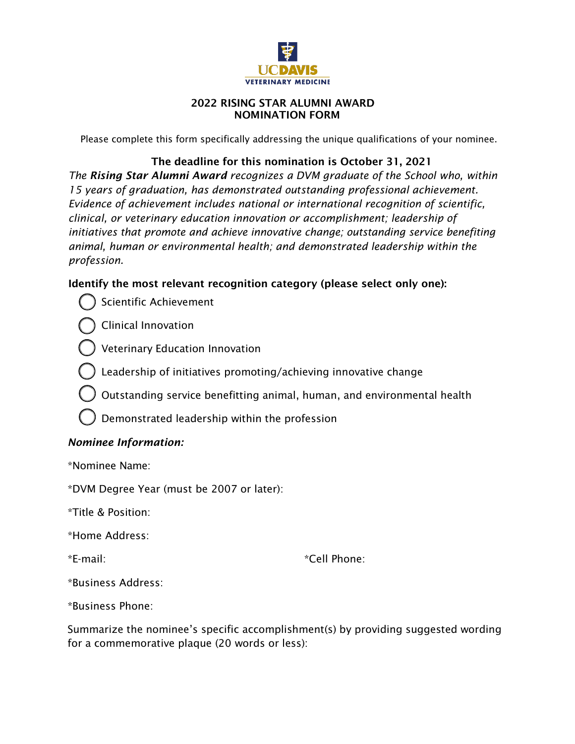

### 2022 RISING STAR ALUMNI AWARD NOMINATION FORM

Please complete this form specifically addressing the unique qualifications of your nominee.

# The deadline for this nomination is October 31, 2021

*The Rising Star Alumni Award recognizes a DVM graduate of the School who, within 15 years of graduation, has demonstrated outstanding professional achievement. Evidence of achievement includes national or international recognition of scientific, clinical, or veterinary education innovation or accomplishment; leadership of initiatives that promote and achieve innovative change; outstanding service benefiting animal, human or environmental health; and demonstrated leadership within the profession.* 

# Identify the most relevant recognition category (please select only one):

Scientific Achievement

Clinical Innovation



- Leadership of initiatives promoting/achieving innovative change
- Outstanding service benefitting animal, human, and environmental health
- Demonstrated leadership within the profession

# *Nominee Information:*

\*Nominee Name:

\*DVM Degree Year (must be 2007 or later):

\*Title & Position:

\*Home Address:

\*E-mail:

\*Cell Phone:

\*Business Address:

\*Business Phone:

Summarize the nominee's specific accomplishment(s) by providing suggested wording for a commemorative plaque (20 words or less):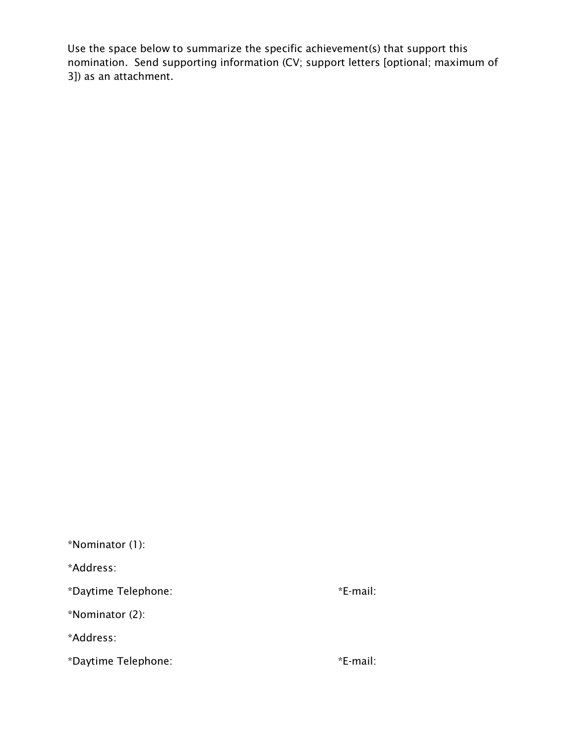Use the space below to summarize the specific achievement(s) that support this nomination. Send supporting information (CV; support letters [optional; maximum of 3]) as an attachment.

\*Nominator (1): \*Address: \*Daytime Telephone: \*E-mail: \*Nominator (2): \*Address: \*Daytime Telephone: \*E-mail: